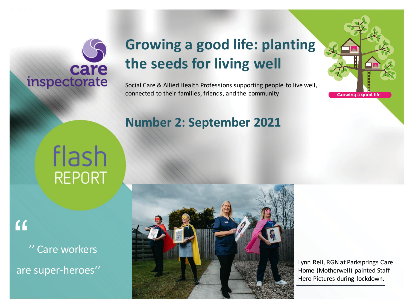## care inspectorate

## **Growing a good life: planting the seeds for living well**

Social Care & Allied Health Professions supporting people to live well, connected to their families, friends, and the community

#### **Number 2: September 2021**

# flash **REPORT**

 $\overline{11}$ 

'' Care workers are super-heroes''



Lynn Rell, RGN at Parksprings Care Home (Motherwell) painted Staff Hero Pictures during lockdown.

Growing a good life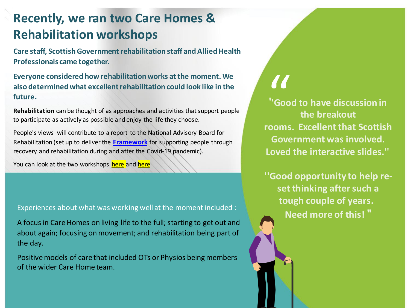### **Recently, we ran two Care Homes & Rehabilitation workshops**

**Care staff, Scottish Government rehabilitation staff and Allied Health Professionals came together.**

**Everyone considered how rehabilitation works at the moment. We also determined what excellent rehabilitation could look like in the future.**

**Rehabilitation** can be thought of as approaches and activities that support people to participate as actively as possible and enjoy the life they choose.

People's views will contribute to a report to the National Advisory Board for Rehabilitation (set up to deliver the **[Framework](https://gbr01.safelinks.protection.outlook.com/?url=https%3A%2F%2Flnks.gd%2Fl%2FeyJhbGciOiJIUzI1NiJ9.eyJidWxsZXRpbl9saW5rX2lkIjoxMDQsInVyaSI6ImJwMjpjbGljayIsImJ1bGxldGluX2lkIjoiMjAyMTA3MjIuNDM1Mzc3ODEiLCJ1cmwiOiJodHRwczovL3d3dy5nb3Yuc2NvdC9wdWJsaWNhdGlvbnMvZnJhbWV3b3JrLXN1cHBvcnRpbmctcGVvcGxlLXRocm91Z2gtcmVjb3ZlcnktcmVoYWJpbGl0YXRpb24tZHVyaW5nLWNvdmlkLTE5LXBhbmRlbWljLz91dG1fbWVkaXVtPWVtYWlsJnV0bV9zb3VyY2U9Z292ZGVsaXZlcnkifQ.e_Wj4uEvUh8a_75H5hoBQ1yPzfilOM3Eobf5xgG01vc%2Fs%2F945057091%2Fbr%2F109739558651-l&data=04%7C01%7C%7C1a1ddefef4a0402b94a808d94d03b74c%7Cdb475863b0d947e2b73f89c00d851e74%7C0%7C0%7C637625500643433891%7CUnknown%7CTWFpbGZsb3d8eyJWIjoiMC4wLjAwMDAiLCJQIjoiV2luMzIiLCJBTiI6Ik1haWwiLCJXVCI6Mn0%3D%7C1000&sdata=WZN0xJVtRxqKNjIj26VjGH2GEukv8W0GgTXf0VT9tx0%3D&reserved=0)** for supporting people through recovery and rehabilitation during and after the Covid-19 pandemic).

You can look at the two workshops [here](https://www.youtube.com/watch?v=dLcjB7EYN-8) and here

Experiences about what was working well at the moment included :

A focus in Care Homes on living life to the full; starting to get out and about again; focusing on movement; and rehabilitation being part of the day.

Positive models of care that included OTs or Physios being members of the wider Care Home team.

**''Good to have discussion in the breakout rooms. Excellent that Scottish Government was involved. Loved the interactive slides.''** |<br>|-<br>|<br>|<br>|

**''Good opportunity to help reset thinking after such a tough couple of years. Need more of this! ''**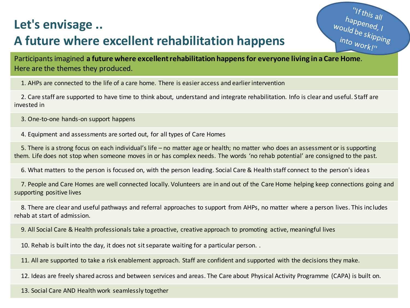#### **Let's envisage ..**

### **A future where excellent rehabilitation happens**

"If this all happened, I<br>Would be skipping<br>Into work in into work!"

Participants imagined **a future where excellent rehabilitation happens for everyone living in a Care Home**. Here are the themes they produced.

1. AHPs are connected to the life of a care home. There is easier access and earlier intervention

2. Care staff are supported to have time to think about, understand and integrate rehabilitation. Info is clear and useful. Staff are invested in

3. One-to-one hands-on support happens

4. Equipment and assessments are sorted out, for all types of Care Homes

5. There is a strong focus on each individual's life – no matter age or health; no matter who does an assessment or is supporting them. Life does not stop when someone moves in or has complex needs. The words 'no rehab potential' are consigned to the past.

6. What matters to the person is focused on, with the person leading. Social Care & Health staff connect to the person's ideas

7. People and Care Homes are well connected locally. Volunteers are in and out of the Care Home helping keep connections going and supporting positive lives

8. There are clear and useful pathways and referral approaches to support from AHPs, no matter where a person lives. This includes rehab at start of admission.

9. All Social Care & Health professionals take a proactive, creative approach to promoting active, meaningful lives

10. Rehab is built into the day, it does not sit separate waiting for a particular person. .

11. All are supported to take a risk enablement approach. Staff are confident and supported with the decisions they make.

12. Ideas are freely shared across and between services and areas. The Care about Physical Activity Programme (CAPA) is built on.

13. Social Care AND Health work seamlessly together